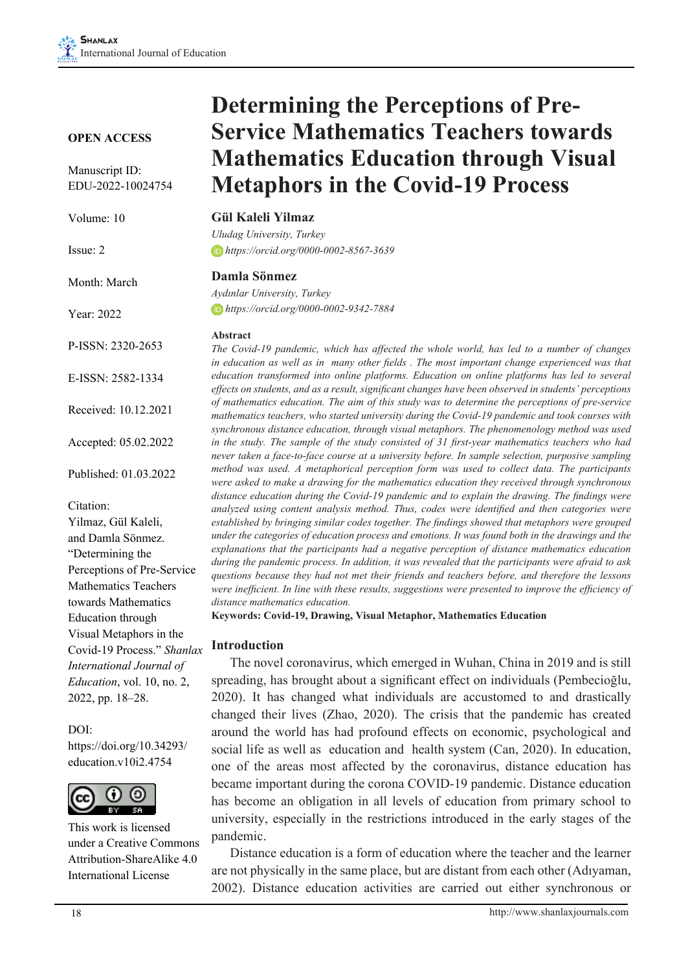#### **OPEN ACCESS**

Manuscript ID: EDU-2022-10024754

| Volume: 10           | <b>Gül K</b><br>Uludag       |
|----------------------|------------------------------|
| Issue: 2             | $\Box$ https                 |
| Month: March         | Damla<br>Aydınla             |
| Year: 2022           | $\Box$ https                 |
| P-ISSN: 2320-2653    | Abstra<br>The Co<br>in educe |
| E-ISSN: 2582-1334    | educatio<br>effects o        |
| Received: 10.12.2021 | of math<br>mathem            |

Accepted: 05.02.2022

Published: 01.03.2022

Citation: Yilmaz, Gül Kaleli, and Damla Sönmez. "Determining the Perceptions of Pre-Service Mathematics Teachers towards Mathematics Education through Visual Metaphors in the Covid-19 Process." *Shanlax International Journal of Education*, vol. 10, no. 2, 2022, pp. 18–28.

DOI: https://doi.org/10.34293/ education.v10i2.4754



This work is licensed under a Creative Commons Attribution-ShareAlike 4.0 International License

# **Determining the Perceptions of Pre-Service Mathematics Teachers towards Mathematics Education through Visual Metaphors in the Covid-19 Process**

*Uludag University, Turkey https://orcid.org/0000-0002-8567-3639*

#### **Damla Sönmez**

 $r$  University, Turkey  *https://orcid.org/0000-0002-9342-7884*

#### **Abstract**

*The Covid-19 pandemic, which has affected the whole world, has led to a number of changes in education as well as in many other fields . The most important change experienced was that education transformed into online platforms. Education on online platforms has led to several effects on students, and as a result, significant changes have been observed in students' perceptions*  ematics education. The aim of this study was to determine the perceptions of pre-service *mathematics teachers, who started university during the Covid-19 pandemic and took courses with synchronous distance education, through visual metaphors. The phenomenology method was used in the study. The sample of the study consisted of 31 first-year mathematics teachers who had never taken a face-to-face course at a university before. In sample selection, purposive sampling method was used. A metaphorical perception form was used to collect data. The participants were asked to make a drawing for the mathematics education they received through synchronous distance education during the Covid-19 pandemic and to explain the drawing. The findings were analyzed using content analysis method. Thus, codes were identified and then categories were established by bringing similar codes together. The findings showed that metaphors were grouped under the categories of education process and emotions. It was found both in the drawings and the explanations that the participants had a negative perception of distance mathematics education during the pandemic process. In addition, it was revealed that the participants were afraid to ask questions because they had not met their friends and teachers before, and therefore the lessons were inefficient. In line with these results, suggestions were presented to improve the efficiency of distance mathematics education.*

**Keywords: Covid-19, Drawing, Visual Metaphor, Mathematics Education**

#### **Introduction**

The novel coronavirus, which emerged in Wuhan, China in 2019 and is still spreading, has brought about a significant effect on individuals (Pembecioğlu, 2020). It has changed what individuals are accustomed to and drastically changed their lives (Zhao, 2020). The crisis that the pandemic has created around the world has had profound effects on economic, psychological and social life as well as education and health system (Can, 2020). In education, one of the areas most affected by the coronavirus, distance education has became important during the corona COVID-19 pandemic. Distance education has become an obligation in all levels of education from primary school to university, especially in the restrictions introduced in the early stages of the pandemic.

Distance education is a form of education where the teacher and the learner are not physically in the same place, but are distant from each other (Adıyaman, 2002). Distance education activities are carried out either synchronous or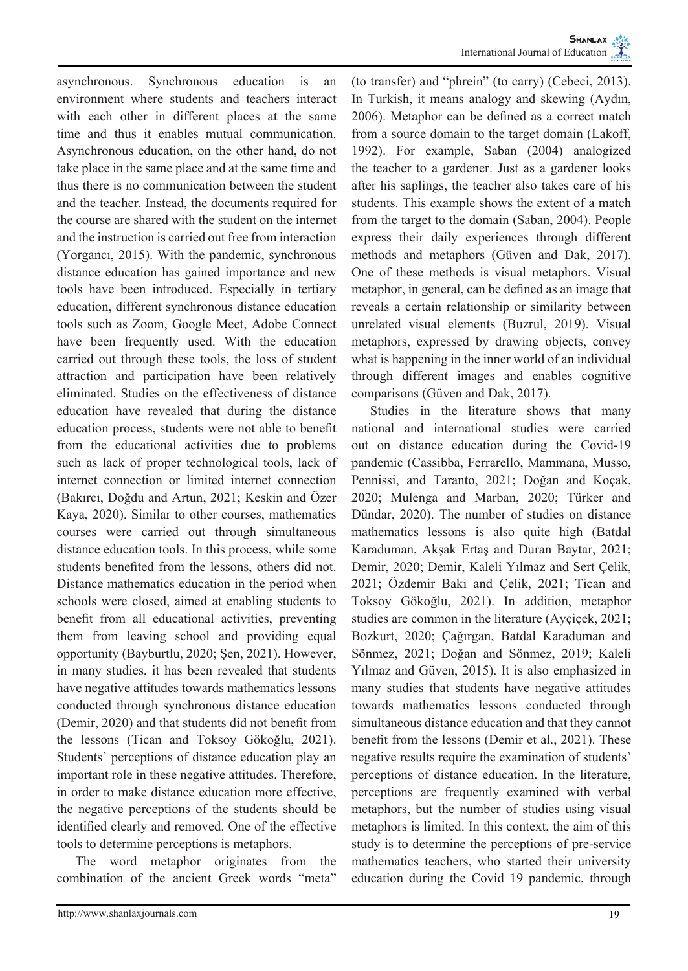asynchronous. Synchronous education is an environment where students and teachers interact with each other in different places at the same time and thus it enables mutual communication. Asynchronous education, on the other hand, do not take place in the same place and at the same time and thus there is no communication between the student and the teacher. Instead, the documents required for the course are shared with the student on the internet and the instruction is carried out free from interaction (Yorgancı, 2015). With the pandemic, synchronous distance education has gained importance and new tools have been introduced. Especially in tertiary education, different synchronous distance education tools such as Zoom, Google Meet, Adobe Connect have been frequently used. With the education carried out through these tools, the loss of student attraction and participation have been relatively eliminated. Studies on the effectiveness of distance education have revealed that during the distance education process, students were not able to benefit from the educational activities due to problems such as lack of proper technological tools, lack of internet connection or limited internet connection (Bakırcı, Doğdu and Artun, 2021; Keskin and Özer Kaya, 2020). Similar to other courses, mathematics courses were carried out through simultaneous distance education tools. In this process, while some students benefited from the lessons, others did not. Distance mathematics education in the period when schools were closed, aimed at enabling students to benefit from all educational activities, preventing them from leaving school and providing equal opportunity (Bayburtlu, 2020; Şen, 2021). However, in many studies, it has been revealed that students have negative attitudes towards mathematics lessons conducted through synchronous distance education (Demir, 2020) and that students did not benefit from the lessons (Tican and Toksoy Gökoğlu, 2021). Students' perceptions of distance education play an important role in these negative attitudes. Therefore, in order to make distance education more effective, the negative perceptions of the students should be identified clearly and removed. One of the effective tools to determine perceptions is metaphors.

The word metaphor originates from the combination of the ancient Greek words "meta"

(to transfer) and "phrein" (to carry) (Cebeci, 2013). In Turkish, it means analogy and skewing (Aydın, 2006). Metaphor can be defined as a correct match from a source domain to the target domain (Lakoff, 1992). For example, Saban (2004) analogized the teacher to a gardener. Just as a gardener looks after his saplings, the teacher also takes care of his students. This example shows the extent of a match from the target to the domain (Saban, 2004). People express their daily experiences through different methods and metaphors (Güven and Dak, 2017). One of these methods is visual metaphors. Visual metaphor, in general, can be defined as an image that reveals a certain relationship or similarity between unrelated visual elements (Buzrul, 2019). Visual metaphors, expressed by drawing objects, convey what is happening in the inner world of an individual through different images and enables cognitive comparisons (Güven and Dak, 2017).

Studies in the literature shows that many national and international studies were carried out on distance education during the Covid-19 pandemic (Cassibba, Ferrarello, Mammana, Musso, Pennissi, and Taranto, 2021; Doğan and Koçak, 2020; Mulenga and Marban, 2020; Türker and Dündar, 2020). The number of studies on distance mathematics lessons is also quite high (Batdal Karaduman, Akşak Ertaş and Duran Baytar, 2021; Demir, 2020; Demir, Kaleli Yılmaz and Sert Çelik, 2021; Özdemir Baki and Çelik, 2021; Tican and Toksoy Gökoğlu, 2021). In addition, metaphor studies are common in the literature (Ayçiçek, 2021; Bozkurt, 2020; Çağırgan, Batdal Karaduman and Sönmez, 2021; Doğan and Sönmez, 2019; Kaleli Yılmaz and Güven, 2015). It is also emphasized in many studies that students have negative attitudes towards mathematics lessons conducted through simultaneous distance education and that they cannot benefit from the lessons (Demir et al., 2021). These negative results require the examination of students' perceptions of distance education. In the literature, perceptions are frequently examined with verbal metaphors, but the number of studies using visual metaphors is limited. In this context, the aim of this study is to determine the perceptions of pre-service mathematics teachers, who started their university education during the Covid 19 pandemic, through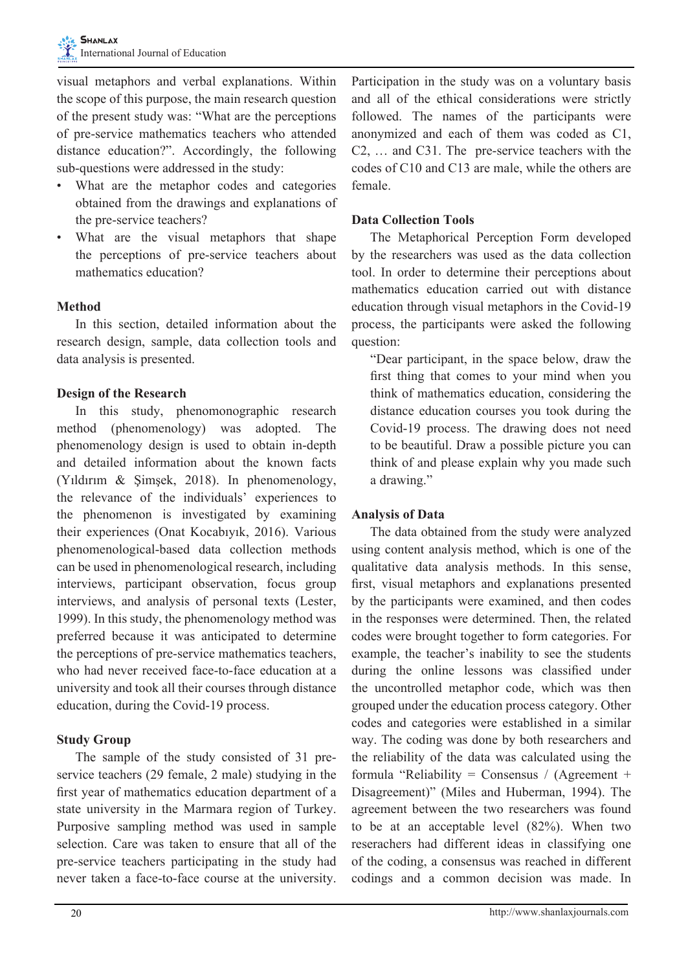visual metaphors and verbal explanations. Within the scope of this purpose, the main research question of the present study was: "What are the perceptions of pre-service mathematics teachers who attended distance education?". Accordingly, the following sub-questions were addressed in the study:

- What are the metaphor codes and categories obtained from the drawings and explanations of the pre-service teachers?
- What are the visual metaphors that shape the perceptions of pre-service teachers about mathematics education?

## **Method**

In this section, detailed information about the research design, sample, data collection tools and data analysis is presented.

## **Design of the Research**

In this study, phenomonographic research method (phenomenology) was adopted. The phenomenology design is used to obtain in-depth and detailed information about the known facts (Yıldırım & Şimşek, 2018). In phenomenology, the relevance of the individuals' experiences to the phenomenon is investigated by examining their experiences (Onat Kocabıyık, 2016). Various phenomenological-based data collection methods can be used in phenomenological research, including interviews, participant observation, focus group interviews, and analysis of personal texts (Lester, 1999). In this study, the phenomenology method was preferred because it was anticipated to determine the perceptions of pre-service mathematics teachers, who had never received face-to-face education at a university and took all their courses through distance education, during the Covid-19 process.

## **Study Group**

The sample of the study consisted of 31 preservice teachers (29 female, 2 male) studying in the first year of mathematics education department of a state university in the Marmara region of Turkey. Purposive sampling method was used in sample selection. Care was taken to ensure that all of the pre-service teachers participating in the study had never taken a face-to-face course at the university.

Participation in the study was on a voluntary basis and all of the ethical considerations were strictly followed. The names of the participants were anonymized and each of them was coded as C1, C2, … and C31. The pre-service teachers with the codes of C10 and C13 are male, while the others are female.

## **Data Collection Tools**

The Metaphorical Perception Form developed by the researchers was used as the data collection tool. In order to determine their perceptions about mathematics education carried out with distance education through visual metaphors in the Covid-19 process, the participants were asked the following question:

"Dear participant, in the space below, draw the first thing that comes to your mind when you think of mathematics education, considering the distance education courses you took during the Covid-19 process. The drawing does not need to be beautiful. Draw a possible picture you can think of and please explain why you made such a drawing."

#### **Analysis of Data**

The data obtained from the study were analyzed using content analysis method, which is one of the qualitative data analysis methods. In this sense, first, visual metaphors and explanations presented by the participants were examined, and then codes in the responses were determined. Then, the related codes were brought together to form categories. For example, the teacher's inability to see the students during the online lessons was classified under the uncontrolled metaphor code, which was then grouped under the education process category. Other codes and categories were established in a similar way. The coding was done by both researchers and the reliability of the data was calculated using the formula "Reliability = Consensus / (Agreement + Disagreement)" (Miles and Huberman, 1994). The agreement between the two researchers was found to be at an acceptable level (82%). When two reserachers had different ideas in classifying one of the coding, a consensus was reached in different codings and a common decision was made. In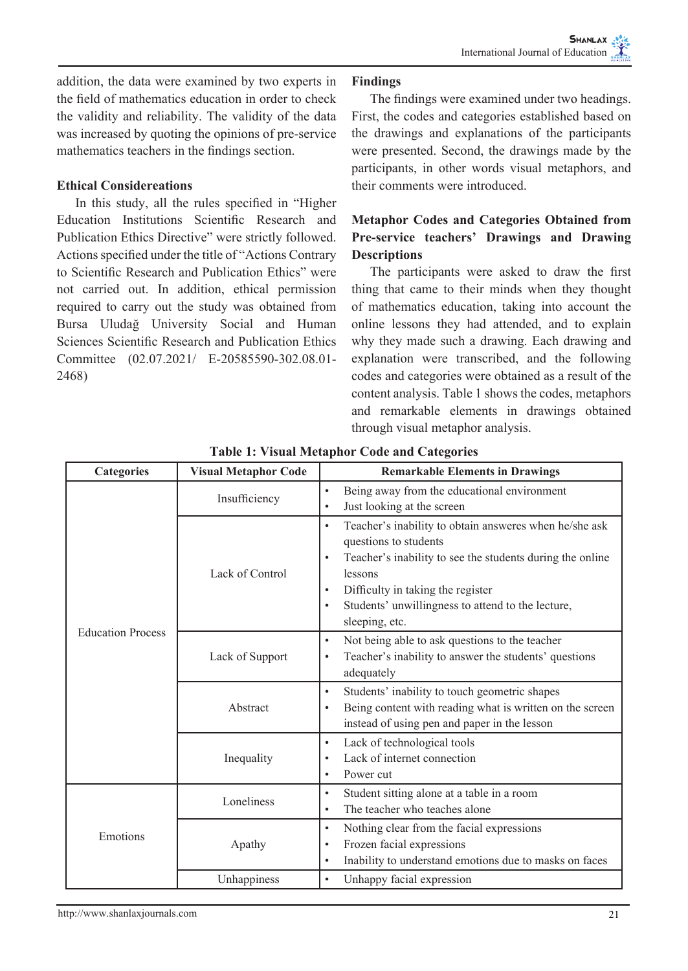addition, the data were examined by two experts in the field of mathematics education in order to check the validity and reliability. The validity of the data was increased by quoting the opinions of pre-service mathematics teachers in the findings section.

## **Ethical Considereations**

In this study, all the rules specified in "Higher Education Institutions Scientific Research and Publication Ethics Directive" were strictly followed. Actions specified under the title of "Actions Contrary to Scientific Research and Publication Ethics" were not carried out. In addition, ethical permission required to carry out the study was obtained from Bursa Uludağ University Social and Human Sciences Scientific Research and Publication Ethics Committee (02.07.2021/ E-20585590-302.08.01- 2468)

### **Findings**

The findings were examined under two headings. First, the codes and categories established based on the drawings and explanations of the participants were presented. Second, the drawings made by the participants, in other words visual metaphors, and their comments were introduced.

# **Metaphor Codes and Categories Obtained from Pre-service teachers' Drawings and Drawing Descriptions**

The participants were asked to draw the first thing that came to their minds when they thought of mathematics education, taking into account the online lessons they had attended, and to explain why they made such a drawing. Each drawing and explanation were transcribed, and the following codes and categories were obtained as a result of the content analysis. Table 1 shows the codes, metaphors and remarkable elements in drawings obtained through visual metaphor analysis.

| <b>Categories</b>        | <b>Visual Metaphor Code</b> | <b>Remarkable Elements in Drawings</b>                                                                                                                                                                                                                                                                          |
|--------------------------|-----------------------------|-----------------------------------------------------------------------------------------------------------------------------------------------------------------------------------------------------------------------------------------------------------------------------------------------------------------|
|                          | Insufficiency               | Being away from the educational environment<br>$\bullet$<br>Just looking at the screen<br>$\bullet$                                                                                                                                                                                                             |
| <b>Education Process</b> | Lack of Control             | Teacher's inability to obtain answeres when he/she ask<br>٠<br>questions to students<br>Teacher's inability to see the students during the online<br>$\bullet$<br>lessons<br>Difficulty in taking the register<br>$\bullet$<br>Students' unwillingness to attend to the lecture,<br>$\bullet$<br>sleeping, etc. |
|                          | Lack of Support             | Not being able to ask questions to the teacher<br>$\bullet$<br>Teacher's inability to answer the students' questions<br>$\bullet$<br>adequately                                                                                                                                                                 |
|                          | Abstract                    | Students' inability to touch geometric shapes<br>٠<br>Being content with reading what is written on the screen<br>٠<br>instead of using pen and paper in the lesson                                                                                                                                             |
|                          | Inequality                  | Lack of technological tools<br>٠<br>Lack of internet connection<br>$\bullet$<br>Power cut<br>$\bullet$                                                                                                                                                                                                          |
| Emotions                 | Loneliness                  | Student sitting alone at a table in a room<br>$\bullet$<br>The teacher who teaches alone<br>٠                                                                                                                                                                                                                   |
|                          | Apathy                      | Nothing clear from the facial expressions<br>$\bullet$<br>Frozen facial expressions<br>٠<br>Inability to understand emotions due to masks on faces<br>٠                                                                                                                                                         |
|                          | Unhappiness                 | Unhappy facial expression<br>$\bullet$                                                                                                                                                                                                                                                                          |

**Table 1: Visual Metaphor Code and Categories**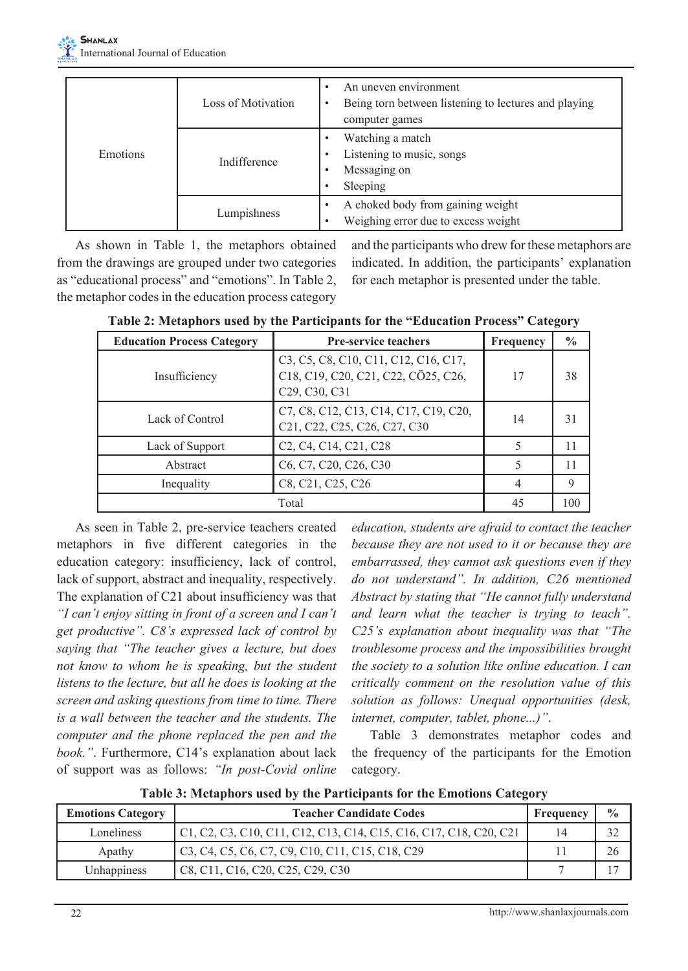|          | Loss of Motivation | An uneven environment<br>Being torn between listening to lectures and playing<br>computer games |
|----------|--------------------|-------------------------------------------------------------------------------------------------|
| Emotions | Indifference       | Watching a match<br>Listening to music, songs<br>Messaging on<br>Sleeping                       |
|          | Lumpishness        | A choked body from gaining weight<br>Weighing error due to excess weight                        |

As shown in Table 1, the metaphors obtained from the drawings are grouped under two categories as "educational process" and "emotions". In Table 2, the metaphor codes in the education process category

and the participants who drew for these metaphors are indicated. In addition, the participants' explanation for each metaphor is presented under the table.

| <b>Education Process Category</b> | <b>Pre-service teachers</b>                                                                                                                                                                                                                | Frequency | $\frac{0}{0}$ |
|-----------------------------------|--------------------------------------------------------------------------------------------------------------------------------------------------------------------------------------------------------------------------------------------|-----------|---------------|
| Insufficiency                     | C <sub>3</sub> , C <sub>5</sub> , C <sub>8</sub> , C <sub>10</sub> , C <sub>11</sub> , C <sub>12</sub> , C <sub>16</sub> , C <sub>17</sub> ,<br>C18, C19, C20, C21, C22, CÖ25, C26,<br>C <sub>29</sub> , C <sub>30</sub> , C <sub>31</sub> | 17        | 38            |
| Lack of Control                   | C7, C8, C12, C13, C14, C17, C19, C20,<br>C <sub>21</sub> , C <sub>22</sub> , C <sub>25</sub> , C <sub>26</sub> , C <sub>27</sub> , C <sub>30</sub>                                                                                         | 14        | 31            |
| Lack of Support                   | C <sub>2</sub> , C <sub>4</sub> , C <sub>14</sub> , C <sub>21</sub> , C <sub>28</sub>                                                                                                                                                      |           | 11            |
| Abstract                          | C <sub>6</sub> , C <sub>7</sub> , C <sub>20</sub> , C <sub>26</sub> , C <sub>30</sub>                                                                                                                                                      |           | 11            |
| Inequality                        | C8, C21, C25, C26                                                                                                                                                                                                                          | 4         | 9             |
|                                   | Total                                                                                                                                                                                                                                      | 45        | 100           |

**Table 2: Metaphors used by the Participants for the "Education Process" Category**

As seen in Table 2, pre-service teachers created metaphors in five different categories in the education category: insufficiency, lack of control, lack of support, abstract and inequality, respectively. The explanation of C21 about insufficiency was that *"I can't enjoy sitting in front of a screen and I can't get productive". C8's expressed lack of control by saying that "The teacher gives a lecture, but does not know to whom he is speaking, but the student listens to the lecture, but all he does is looking at the screen and asking questions from time to time. There is a wall between the teacher and the students. The computer and the phone replaced the pen and the book."*. Furthermore, C14's explanation about lack of support was as follows: *"In post-Covid online* 

*education, students are afraid to contact the teacher because they are not used to it or because they are embarrassed, they cannot ask questions even if they do not understand". In addition, C26 mentioned Abstract by stating that "He cannot fully understand and learn what the teacher is trying to teach". C25's explanation about inequality was that "The troublesome process and the impossibilities brought the society to a solution like online education. I can critically comment on the resolution value of this solution as follows: Unequal opportunities (desk, internet, computer, tablet, phone...)"*.

Table 3 demonstrates metaphor codes and the frequency of the participants for the Emotion category.

**Table 3: Metaphors used by the Participants for the Emotions Category**

| <b>Emotions Category</b> | <b>Teacher Candidate Codes</b>                                    |    | $\frac{0}{0}$ |
|--------------------------|-------------------------------------------------------------------|----|---------------|
| Loneliness               | C1, C2, C3, C10, C11, C12, C13, C14, C15, C16, C17, C18, C20, C21 | 14 | 32            |
| Apathy                   | C3, C4, C5, C6, C7, C9, C10, C11, C15, C18, C29                   |    | 26            |
| Unhappiness              | C8, C11, C16, C20, C25, C29, C30                                  |    |               |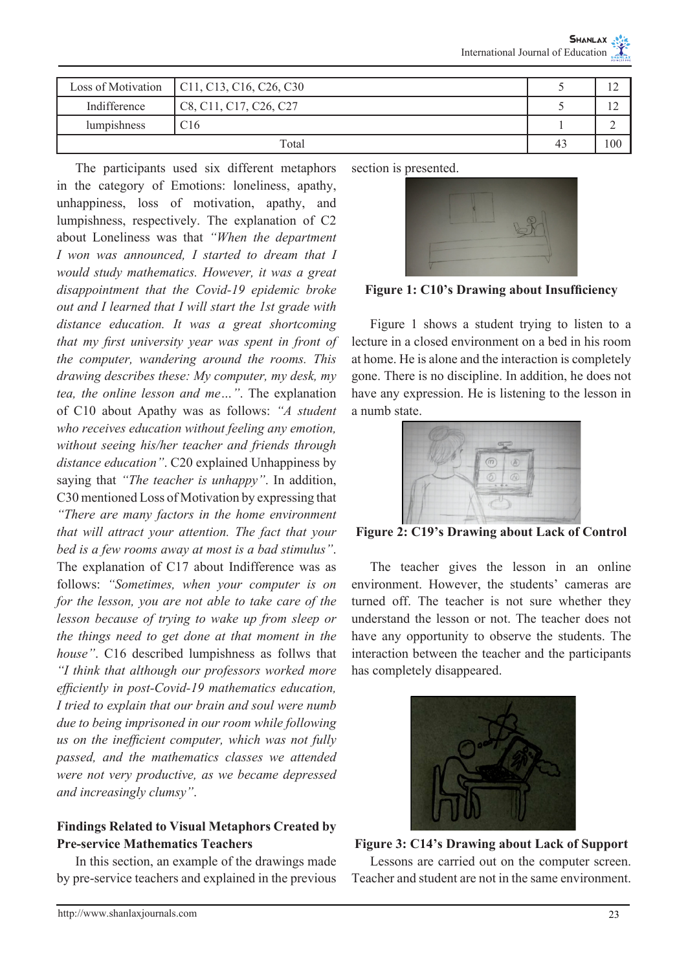|              | Loss of Motivation $\vert$ C11, C13, C16, C26, C30 |    | $\overline{1}$                   |
|--------------|----------------------------------------------------|----|----------------------------------|
| Indifference | C8, C11, C17, C26, C27                             |    | 1 <sub>0</sub><br>$\overline{1}$ |
| lumpishness  | C <sub>16</sub>                                    |    |                                  |
| Total        |                                                    | 43 | 100                              |

The participants used six different metaphors in the category of Emotions: loneliness, apathy, unhappiness, loss of motivation, apathy, and lumpishness, respectively. The explanation of C2 about Loneliness was that *"When the department I won was announced, I started to dream that I would study mathematics. However, it was a great disappointment that the Covid-19 epidemic broke out and I learned that I will start the 1st grade with distance education. It was a great shortcoming that my first university year was spent in front of the computer, wandering around the rooms. This drawing describes these: My computer, my desk, my tea, the online lesson and me…"*. The explanation of C10 about Apathy was as follows: *"A student who receives education without feeling any emotion, without seeing his/her teacher and friends through distance education"*. C20 explained Unhappiness by saying that *"The teacher is unhappy"*. In addition, C30 mentioned Loss of Motivation by expressing that *"There are many factors in the home environment that will attract your attention. The fact that your bed is a few rooms away at most is a bad stimulus"*. The explanation of C17 about Indifference was as follows: *"Sometimes, when your computer is on for the lesson, you are not able to take care of the lesson because of trying to wake up from sleep or the things need to get done at that moment in the house"*. C16 described lumpishness as follws that *"I think that although our professors worked more efficiently in post-Covid-19 mathematics education, I tried to explain that our brain and soul were numb due to being imprisoned in our room while following us on the inefficient computer, which was not fully passed, and the mathematics classes we attended were not very productive, as we became depressed and increasingly clumsy"*.

# **Findings Related to Visual Metaphors Created by Pre-service Mathematics Teachers**

In this section, an example of the drawings made by pre-service teachers and explained in the previous



**Figure 1: C10's Drawing about Insufficiency**

Figure 1 shows a student trying to listen to a lecture in a closed environment on a bed in his room at home. He is alone and the interaction is completely gone. There is no discipline. In addition, he does not have any expression. He is listening to the lesson in a numb state.



**Figure 2: C19's Drawing about Lack of Control**

The teacher gives the lesson in an online environment. However, the students' cameras are turned off. The teacher is not sure whether they understand the lesson or not. The teacher does not have any opportunity to observe the students. The interaction between the teacher and the participants has completely disappeared.



**Figure 3: C14's Drawing about Lack of Support** Lessons are carried out on the computer screen. Teacher and student are not in the same environment.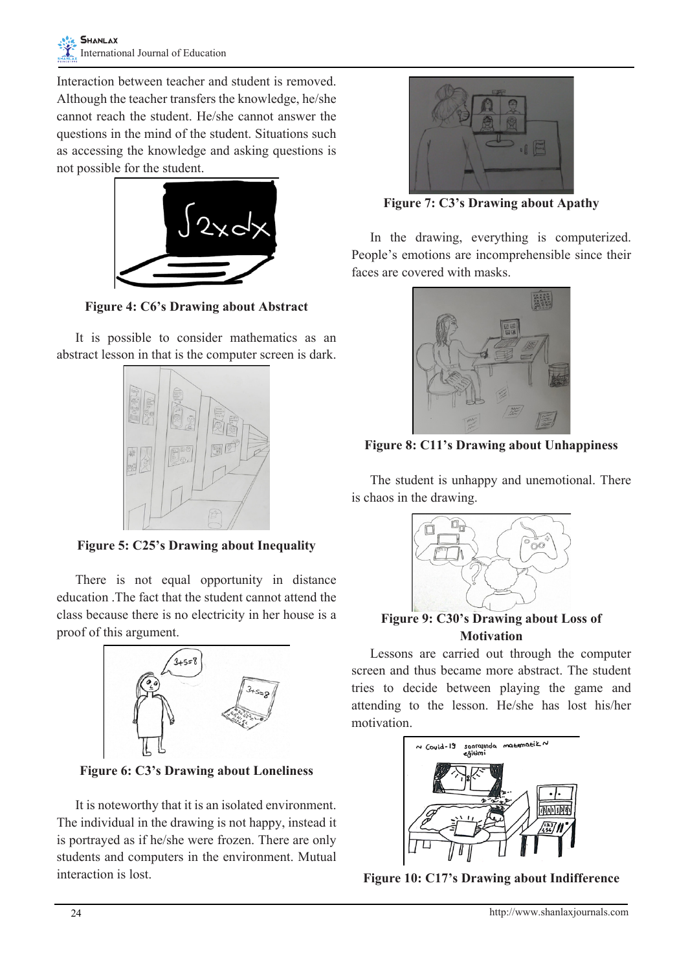Interaction between teacher and student is removed. Although the teacher transfers the knowledge, he/she cannot reach the student. He/she cannot answer the questions in the mind of the student. Situations such as accessing the knowledge and asking questions is not possible for the student.



**Figure 4: C6's Drawing about Abstract**

It is possible to consider mathematics as an abstract lesson in that is the computer screen is dark.



**Figure 5: C25's Drawing about Inequality**

There is not equal opportunity in distance education .The fact that the student cannot attend the class because there is no electricity in her house is a proof of this argument.



**Figure 6: C3's Drawing about Loneliness**

It is noteworthy that it is an isolated environment. The individual in the drawing is not happy, instead it is portrayed as if he/she were frozen. There are only students and computers in the environment. Mutual interaction is lost.



**Figure 7: C3's Drawing about Apathy**

In the drawing, everything is computerized. People's emotions are incomprehensible since their faces are covered with masks.



**Figure 8: C11's Drawing about Unhappiness**

The student is unhappy and unemotional. There is chaos in the drawing.



**Figure 9: C30's Drawing about Loss of Motivation**

Lessons are carried out through the computer screen and thus became more abstract. The student tries to decide between playing the game and attending to the lesson. He/she has lost his/her motivation.



**Figure 10: C17's Drawing about Indifference**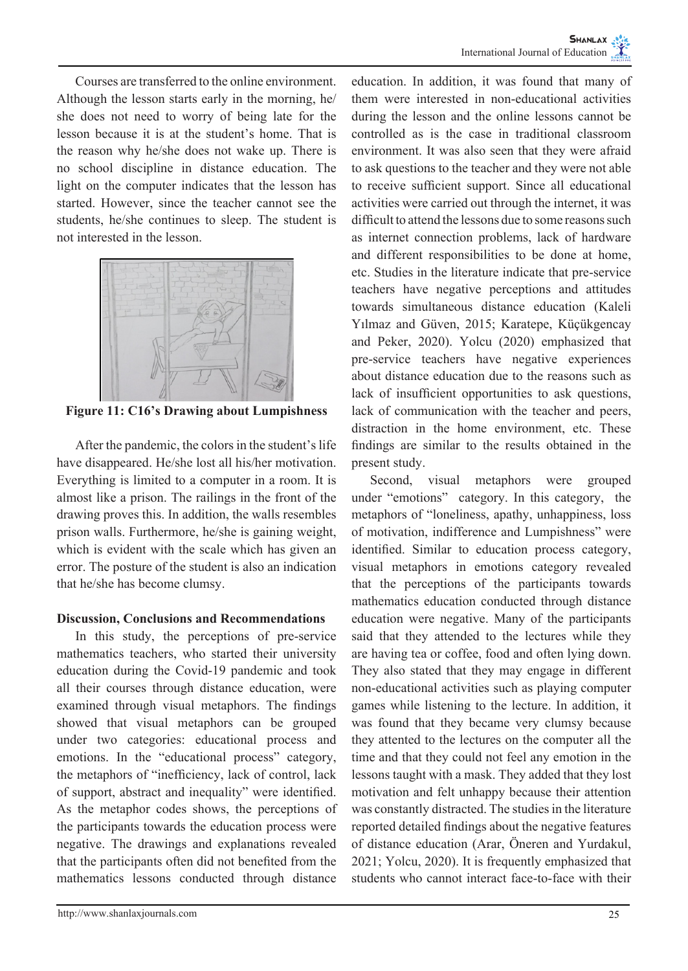Courses are transferred to the online environment. Although the lesson starts early in the morning, he/ she does not need to worry of being late for the lesson because it is at the student's home. That is the reason why he/she does not wake up. There is no school discipline in distance education. The light on the computer indicates that the lesson has started. However, since the teacher cannot see the students, he/she continues to sleep. The student is not interested in the lesson.



**Figure 11: C16's Drawing about Lumpishness**

After the pandemic, the colors in the student's life have disappeared. He/she lost all his/her motivation. Everything is limited to a computer in a room. It is almost like a prison. The railings in the front of the drawing proves this. In addition, the walls resembles prison walls. Furthermore, he/she is gaining weight, which is evident with the scale which has given an error. The posture of the student is also an indication that he/she has become clumsy.

## **Discussion, Conclusions and Recommendations**

In this study, the perceptions of pre-service mathematics teachers, who started their university education during the Covid-19 pandemic and took all their courses through distance education, were examined through visual metaphors. The findings showed that visual metaphors can be grouped under two categories: educational process and emotions. In the "educational process" category, the metaphors of "inefficiency, lack of control, lack of support, abstract and inequality" were identified. As the metaphor codes shows, the perceptions of the participants towards the education process were negative. The drawings and explanations revealed that the participants often did not benefited from the mathematics lessons conducted through distance

education. In addition, it was found that many of them were interested in non-educational activities during the lesson and the online lessons cannot be controlled as is the case in traditional classroom environment. It was also seen that they were afraid to ask questions to the teacher and they were not able to receive sufficient support. Since all educational activities were carried out through the internet, it was difficult to attend the lessons due to some reasons such as internet connection problems, lack of hardware and different responsibilities to be done at home, etc. Studies in the literature indicate that pre-service teachers have negative perceptions and attitudes towards simultaneous distance education (Kaleli Yılmaz and Güven, 2015; Karatepe, Küçükgencay and Peker, 2020). Yolcu (2020) emphasized that pre-service teachers have negative experiences about distance education due to the reasons such as lack of insufficient opportunities to ask questions, lack of communication with the teacher and peers, distraction in the home environment, etc. These findings are similar to the results obtained in the present study.

Second, visual metaphors were grouped under "emotions" category. In this category, the metaphors of "loneliness, apathy, unhappiness, loss of motivation, indifference and Lumpishness" were identified. Similar to education process category, visual metaphors in emotions category revealed that the perceptions of the participants towards mathematics education conducted through distance education were negative. Many of the participants said that they attended to the lectures while they are having tea or coffee, food and often lying down. They also stated that they may engage in different non-educational activities such as playing computer games while listening to the lecture. In addition, it was found that they became very clumsy because they attented to the lectures on the computer all the time and that they could not feel any emotion in the lessons taught with a mask. They added that they lost motivation and felt unhappy because their attention was constantly distracted. The studies in the literature reported detailed findings about the negative features of distance education (Arar, Öneren and Yurdakul, 2021; Yolcu, 2020). It is frequently emphasized that students who cannot interact face-to-face with their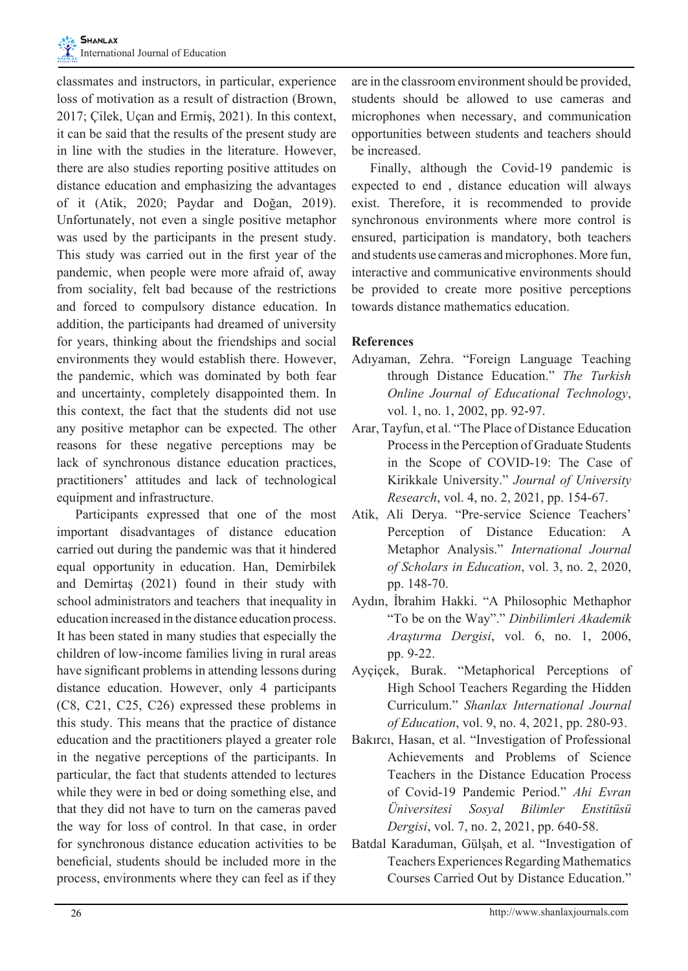classmates and instructors, in particular, experience loss of motivation as a result of distraction (Brown, 2017; Çilek, Uçan and Ermiş, 2021). In this context, it can be said that the results of the present study are in line with the studies in the literature. However, there are also studies reporting positive attitudes on distance education and emphasizing the advantages of it (Atik, 2020; Paydar and Doğan, 2019). Unfortunately, not even a single positive metaphor was used by the participants in the present study. This study was carried out in the first year of the pandemic, when people were more afraid of, away from sociality, felt bad because of the restrictions and forced to compulsory distance education. In addition, the participants had dreamed of university for years, thinking about the friendships and social environments they would establish there. However, the pandemic, which was dominated by both fear and uncertainty, completely disappointed them. In this context, the fact that the students did not use any positive metaphor can be expected. The other reasons for these negative perceptions may be lack of synchronous distance education practices, practitioners' attitudes and lack of technological equipment and infrastructure.

Participants expressed that one of the most important disadvantages of distance education carried out during the pandemic was that it hindered equal opportunity in education. Han, Demirbilek and Demirtaş (2021) found in their study with school administrators and teachers that inequality in education increased in the distance education process. It has been stated in many studies that especially the children of low-income families living in rural areas have significant problems in attending lessons during distance education. However, only 4 participants (C8, C21, C25, C26) expressed these problems in this study. This means that the practice of distance education and the practitioners played a greater role in the negative perceptions of the participants. In particular, the fact that students attended to lectures while they were in bed or doing something else, and that they did not have to turn on the cameras paved the way for loss of control. In that case, in order for synchronous distance education activities to be beneficial, students should be included more in the process, environments where they can feel as if they

are in the classroom environment should be provided, students should be allowed to use cameras and microphones when necessary, and communication opportunities between students and teachers should be increased.

Finally, although the Covid-19 pandemic is expected to end , distance education will always exist. Therefore, it is recommended to provide synchronous environments where more control is ensured, participation is mandatory, both teachers and students use cameras and microphones. More fun, interactive and communicative environments should be provided to create more positive perceptions towards distance mathematics education.

# **References**

- Adıyaman, Zehra. "Foreign Language Teaching through Distance Education." *The Turkish Online Journal of Educational Technology*, vol. 1, no. 1, 2002, pp. 92-97.
- Arar, Tayfun, et al. "The Place of Distance Education Process in the Perception of Graduate Students in the Scope of COVID-19: The Case of Kirikkale University." *Journal of University Research*, vol. 4, no. 2, 2021, pp. 154-67.
- Atik, Ali Derya. "Pre-service Science Teachers' Perception of Distance Education: A Metaphor Analysis." *International Journal of Scholars in Education*, vol. 3, no. 2, 2020, pp. 148-70.
- Aydın, İbrahim Hakki. "A Philosophic Methaphor "To be on the Way"." *Dinbilimleri Akademik Araştırma Dergisi*, vol. 6, no. 1, 2006, pp. 9-22.
- Ayçiçek, Burak. "Metaphorical Perceptions of High School Teachers Regarding the Hidden Curriculum." *Shanlax International Journal of Education*, vol. 9, no. 4, 2021, pp. 280-93.
- Bakırcı, Hasan, et al. "Investigation of Professional Achievements and Problems of Science Teachers in the Distance Education Process of Covid-19 Pandemic Period." *Ahi Evran Üniversitesi Sosyal Bilimler Enstitüsü Dergisi*, vol. 7, no. 2, 2021, pp. 640-58.
- Batdal Karaduman, Gülşah, et al. "Investigation of Teachers Experiences Regarding Mathematics Courses Carried Out by Distance Education."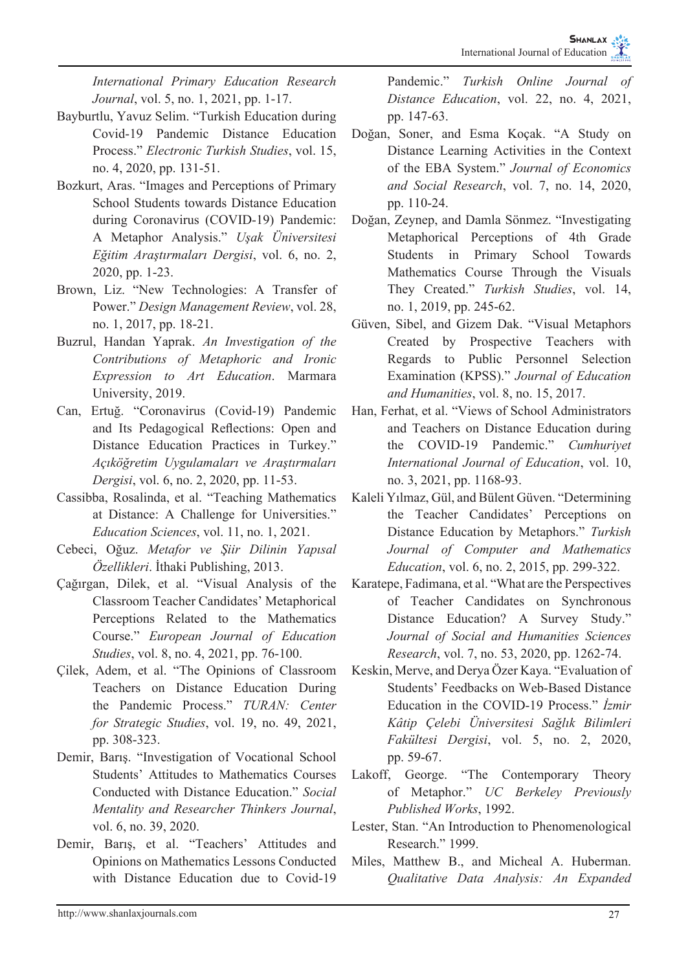*International Primary Education Research Journal*, vol. 5, no. 1, 2021, pp. 1-17.

- Bayburtlu, Yavuz Selim. "Turkish Education during Covid-19 Pandemic Distance Education Process." *Electronic Turkish Studies*, vol. 15, no. 4, 2020, pp. 131-51.
- Bozkurt, Aras. "Images and Perceptions of Primary School Students towards Distance Education during Coronavirus (COVID-19) Pandemic: A Metaphor Analysis." *Uşak Üniversitesi Eğitim Araştırmaları Dergisi*, vol. 6, no. 2, 2020, pp. 1-23.
- Brown, Liz. "New Technologies: A Transfer of Power." *Design Management Review*, vol. 28, no. 1, 2017, pp. 18-21.
- Buzrul, Handan Yaprak. *An Investigation of the Contributions of Metaphoric and Ironic Expression to Art Education*. Marmara University, 2019.
- Can, Ertuğ. "Coronavirus (Covid-19) Pandemic and Its Pedagogical Reflections: Open and Distance Education Practices in Turkey." *Açıköğretim Uygulamaları ve Araştırmaları Dergisi*, vol. 6, no. 2, 2020, pp. 11-53.
- Cassibba, Rosalinda, et al. "Teaching Mathematics at Distance: A Challenge for Universities." *Education Sciences*, vol. 11, no. 1, 2021.
- Cebeci, Oğuz. *Metafor ve Şiir Dilinin Yapısal Özellikleri*. İthaki Publishing, 2013.
- Çağırgan, Dilek, et al. "Visual Analysis of the Classroom Teacher Candidates' Metaphorical Perceptions Related to the Mathematics Course." *European Journal of Education Studies*, vol. 8, no. 4, 2021, pp. 76-100.
- Çilek, Adem, et al. "The Opinions of Classroom Teachers on Distance Education During the Pandemic Process." *TURAN: Center for Strategic Studies*, vol. 19, no. 49, 2021, pp. 308-323.
- Demir, Barış. "Investigation of Vocational School Students' Attitudes to Mathematics Courses Conducted with Distance Education." *Social Mentality and Researcher Thinkers Journal*, vol. 6, no. 39, 2020.
- Demir, Barış, et al. "Teachers' Attitudes and Opinions on Mathematics Lessons Conducted with Distance Education due to Covid-19

Pandemic." *Turkish Online Journal of Distance Education*, vol. 22, no. 4, 2021, pp. 147-63.

- Doğan, Soner, and Esma Koçak. "A Study on Distance Learning Activities in the Context of the EBA System." *Journal of Economics and Social Research*, vol. 7, no. 14, 2020, pp. 110-24.
- Doğan, Zeynep, and Damla Sönmez. "Investigating Metaphorical Perceptions of 4th Grade Students in Primary School Towards Mathematics Course Through the Visuals They Created." *Turkish Studies*, vol. 14, no. 1, 2019, pp. 245-62.
- Güven, Sibel, and Gizem Dak. "Visual Metaphors Created by Prospective Teachers with Regards to Public Personnel Selection Examination (KPSS)." *Journal of Education and Humanities*, vol. 8, no. 15, 2017.
- Han, Ferhat, et al. "Views of School Administrators and Teachers on Distance Education during the COVID-19 Pandemic." *Cumhuriyet International Journal of Education*, vol. 10, no. 3, 2021, pp. 1168-93.
- Kaleli Yılmaz, Gül, and Bülent Güven. "Determining the Teacher Candidates' Perceptions on Distance Education by Metaphors." *Turkish Journal of Computer and Mathematics Education*, vol. 6, no. 2, 2015, pp. 299-322.
- Karatepe, Fadimana, et al. "What are the Perspectives of Teacher Candidates on Synchronous Distance Education? A Survey Study." *Journal of Social and Humanities Sciences Research*, vol. 7, no. 53, 2020, pp. 1262-74.
- Keskin, Merve, and Derya Özer Kaya. "Evaluation of Students' Feedbacks on Web-Based Distance Education in the COVID-19 Process." *İzmir Kâtip Çelebi Üniversitesi Sağlık Bilimleri Fakültesi Dergisi*, vol. 5, no. 2, 2020, pp. 59-67.
- Lakoff, George. "The Contemporary Theory of Metaphor." *UC Berkeley Previously Published Works*, 1992.
- Lester, Stan. "An Introduction to Phenomenological Research." 1999.
- Miles, Matthew B., and Micheal A. Huberman. *Qualitative Data Analysis: An Expanded*